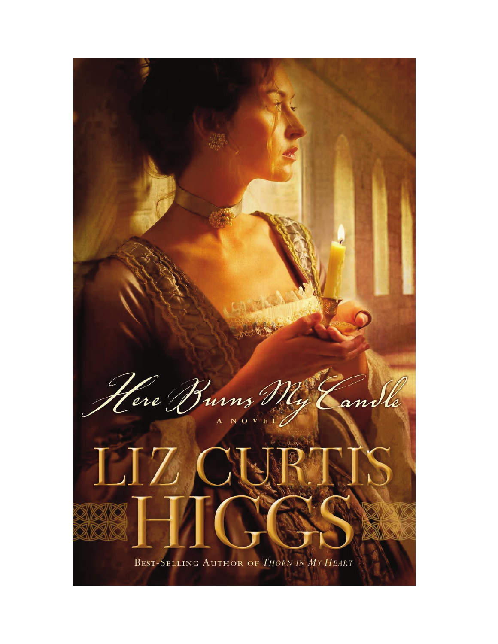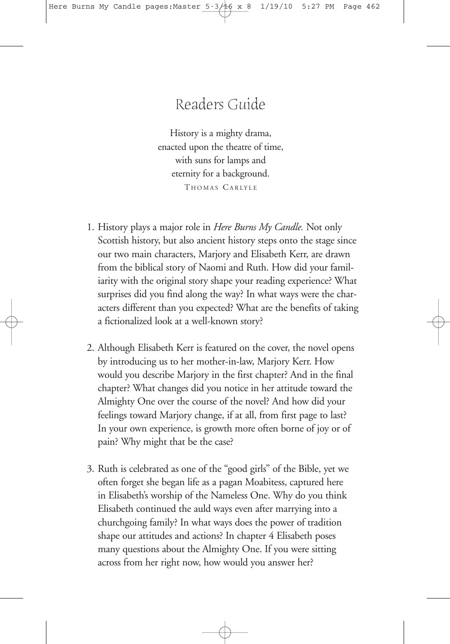## Readers Guide

History is a mighty drama, enacted upon the theatre of time, with suns for lamps and eternity for a background. THOMAS CARLYLE

- 1. History plays a major role in *Here Burns My Candle.* Not only Scottish history, but also ancient history steps onto the stage since our two main characters, Marjory and Elisabeth Kerr, are drawn from the biblical story of Naomi and Ruth. How did your familiarity with the original story shape your reading experience? What surprises did you find along the way? In what ways were the characters different than you expected? What are the benefits of taking a fictionalized look at a well-known story?
- 2. Although Elisabeth Kerr is featured on the cover, the novel opens by introducing us to her mother-in-law, Marjory Kerr. How would you describe Marjory in the first chapter? And in the final chapter? What changes did you notice in her attitude toward the Almighty One over the course of the novel? And how did your feelings toward Marjory change, if at all, from first page to last? In your own experience, is growth more often borne of joy or of pain? Why might that be the case?
- 3. Ruth is celebrated as one of the "good girls" of the Bible, yet we often forget she began life as a pagan Moabitess, captured here in Elisabeth's worship of the Nameless One. Why do you think Elisabeth continued the auld ways even after marrying into a churchgoing family? In what ways does the power of tradition shape our attitudes and actions? In chapter 4 Elisabeth poses many questions about the Almighty One. If you were sitting across from her right now, how would you answer her?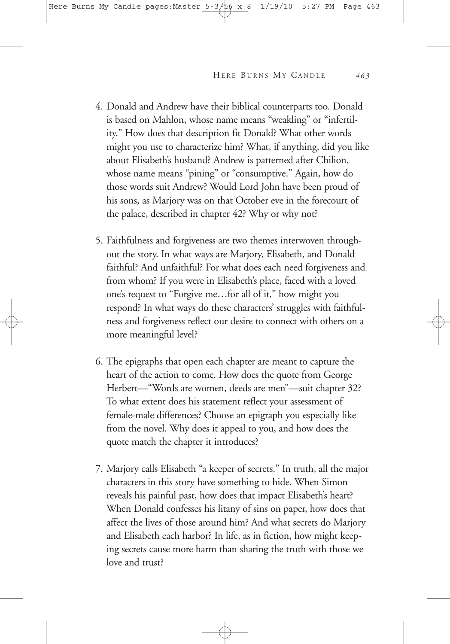- 4. Donald and Andrew have their biblical counterparts too. Donald is based on Mahlon, whose name means "weakling" or "infertility." How does that description fit Donald? What other words might you use to characterize him? What, if anything, did you like about Elisabeth's husband? Andrew is patterned after Chilion, whose name means "pining" or "consumptive." Again, how do those words suit Andrew? Would Lord John have been proud of his sons, as Marjory was on that October eve in the forecourt of the palace, described in chapter 42? Why or why not?
- 5. Faithfulness and forgiveness are two themes interwoven throughout the story. In what ways are Marjory, Elisabeth, and Donald faithful? And unfaithful? For what does each need forgiveness and from whom? If you were in Elisabeth's place, faced with a loved one's request to "Forgive me…for all of it," how might you respond? In what ways do these characters' struggles with faithfulness and forgiveness reflect our desire to connect with others on a more meaningful level?
- 6. The epigraphs that open each chapter are meant to capture the heart of the action to come. How does the quote from George Herbert—"Words are women, deeds are men"—suit chapter 32? To what extent does his statement reflect your assessment of female-male differences? Choose an epigraph you especially like from the novel. Why does it appeal to you, and how does the quote match the chapter it introduces?
- 7. Marjory calls Elisabeth "a keeper of secrets." In truth, all the major characters in this story have something to hide. When Simon reveals his painful past, how does that impact Elisabeth's heart? When Donald confesses his litany of sins on paper, how does that affect the lives of those around him? And what secrets do Marjory and Elisabeth each harbor? In life, as in fiction, how might keeping secrets cause more harm than sharing the truth with those we love and trust?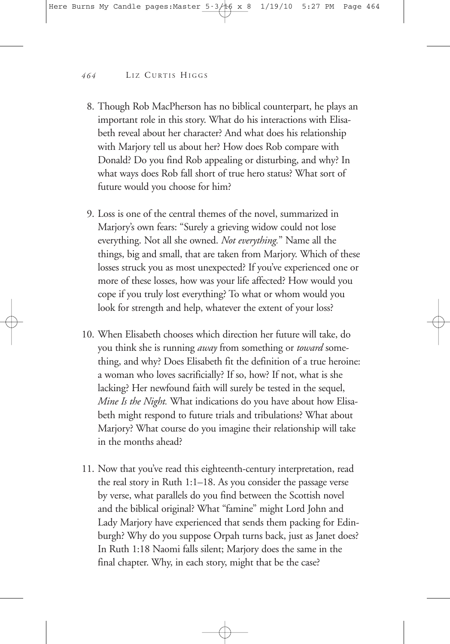- 8. Though Rob MacPherson has no biblical counterpart, he plays an important role in this story. What do his interactions with Elisabeth reveal about her character? And what does his relationship with Marjory tell us about her? How does Rob compare with Donald? Do you find Rob appealing or disturbing, and why? In what ways does Rob fall short of true hero status? What sort of future would you choose for him?
- 9. Loss is one of the central themes of the novel, summarized in Marjory's own fears: "Surely a grieving widow could not lose everything. Not all she owned. *Not everything.*" Name all the things, big and small, that are taken from Marjory. Which of these losses struck you as most unexpected? If you've experienced one or more of these losses, how was your life affected? How would you cope if you truly lost everything? To what or whom would you look for strength and help, whatever the extent of your loss?
- 10. When Elisabeth chooses which direction her future will take, do you think she is running *away* from something or *toward* something, and why? Does Elisabeth fit the definition of a true heroine: a woman who loves sacrificially? If so, how? If not, what is she lacking? Her newfound faith will surely be tested in the sequel, *Mine Is the Night.* What indications do you have about how Elisabeth might respond to future trials and tribulations? What about Marjory? What course do you imagine their relationship will take in the months ahead?
- 11. Now that you've read this eighteenth-century interpretation, read the real story in Ruth 1:1–18. As you consider the passage verse by verse, what parallels do you find between the Scottish novel and the biblical original? What "famine" might Lord John and Lady Marjory have experienced that sends them packing for Edinburgh? Why do you suppose Orpah turns back, just as Janet does? In Ruth 1:18 Naomi falls silent; Marjory does the same in the final chapter. Why, in each story, might that be the case?